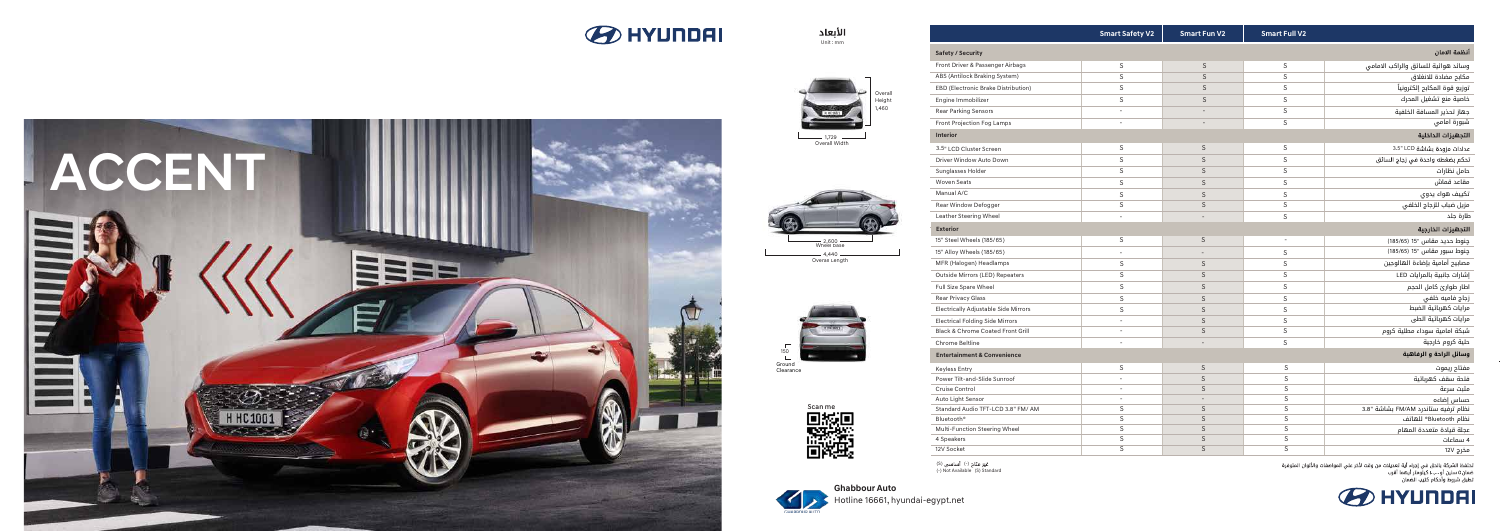



| <b>Ghabbour Auto</b> |                                  |  |  |  |
|----------------------|----------------------------------|--|--|--|
|                      | Hotline 16661, hyundai-egypt.net |  |  |  |

(S) غیر متاح (-) أساسی<br>(-) Not Available (S) Standard







1,729 Overall Width

—— 4,440 —<br>Overall Length











|                                                                   | <b>Smart Safety V2</b>   | <b>Smart Fun V2</b>      | <b>Smart Full V2</b>     |                                     |  |  |
|-------------------------------------------------------------------|--------------------------|--------------------------|--------------------------|-------------------------------------|--|--|
| <b>Safety / Security</b>                                          |                          |                          |                          | أنظمة الامان                        |  |  |
| Front Driver & Passenger Airbags                                  | $\mathsf S$              | $\mathsf S$              | $\mathsf S$              | وسائد هوائية للسائق والراكب الامامى |  |  |
| ABS (Antilock Braking System)                                     | S                        | S                        | $\mathsf S$              | مكابح مضادة للانغلاق                |  |  |
| EBD (Electronic Brake Distribution)                               | $\mathsf S$              | S                        | $\mathsf S$              | توزيع قوة المكابح إلكترونياً        |  |  |
| Engine Immobilizer                                                | $\mathsf S$              | S                        | $\mathsf S$              | خاصية منع تشغيل المحرك              |  |  |
| <b>Rear Parking Sensors</b>                                       | $\blacksquare$           | $\overline{a}$           | $\mathsf S$              | جهاز تحذير المسافة الخلفية          |  |  |
| Front Projection Fog Lamps                                        |                          |                          | $\mathsf S$              | شبورة امامي                         |  |  |
| Interior<br>التجهيزات الداخلية                                    |                          |                          |                          |                                     |  |  |
| 3.5" LCD Cluster Screen                                           | $\mathsf S$              | $\mathsf S$              | $\mathsf S$              | عدادات مزودة بشاشة 3.5" LCD         |  |  |
| Driver Window Auto Down                                           | $\mathsf S$              | S                        | $\mathsf S$              | تحكم بضغطه واحدة في زجاج السائق     |  |  |
| Sunglasses Holder                                                 | $\mathsf S$              | S                        | S                        | حامل نظارات                         |  |  |
| <b>Woven Seats</b>                                                | $\mathsf S$              | S                        | $\mathsf S$              | مقاعد قماش                          |  |  |
| Manual A/C                                                        | $\mathsf S$              | S                        | $\mathsf S$              | تكييف هواء يدوي                     |  |  |
| Rear Window Defogger                                              | $\mathsf S$              | S                        | $\mathsf S$              | مزيل ضباب للزجاج الخلفي             |  |  |
| Leather Steering Wheel                                            | $\overline{a}$           |                          | S                        | طارة جلد                            |  |  |
| التجهيزات الخارجية<br><b>Exterior</b>                             |                          |                          |                          |                                     |  |  |
| 15" Steel Wheels (185/65)                                         | $\mathsf S$              | $\mathsf S$              | $\overline{\phantom{a}}$ | چنوط حدید مقاس "15 (185/65)         |  |  |
| 15" Alloy Wheels (185/65)                                         | $\blacksquare$           | $\overline{\phantom{a}}$ | $\mathsf S$              | چنوط سبور مقاس "15 (185/65)         |  |  |
| MFR (Halogen) Headlamps                                           | $\mathsf S$              | $\mathsf S$              | $\mathsf S$              | مصابيح أمامية بإضاءة الهالوجين      |  |  |
| Outside Mirrors (LED) Repeaters                                   | S                        | S                        | $\mathsf S$              | إشارات جانبية بالمرايات LED         |  |  |
| Full Size Spare Wheel                                             | S                        | S                        | S                        | اطار طوارئ كامل الحجم               |  |  |
| <b>Rear Privacy Glass</b>                                         | $\mathsf S$              | S                        | $\mathsf S$              | زجاج فاميه خلفى                     |  |  |
| <b>Electrically Adjustable Side Mirrors</b>                       | $\mathsf S$              | S                        | $\mathsf S$              | مرايات كهربائية الضبط               |  |  |
| <b>Electrical Folding Side Mirrors</b>                            | $\blacksquare$           | S                        | S                        | مرايات كهربائية الطى                |  |  |
| Black & Chrome Coated Front Grill                                 | $\overline{a}$           | S                        | S                        | شبكة امامية سوداء مطلية كروم        |  |  |
| Chrome Beltline                                                   | $\overline{a}$           |                          | S                        | حلية كروم خارجية                    |  |  |
| وسائل الراحة و الرفاهية<br><b>Entertainment &amp; Convenience</b> |                          |                          |                          |                                     |  |  |
| <b>Keyless Entry</b>                                              | $\mathsf S$              | $\mathsf S$              | S                        | مفتاح ريموت                         |  |  |
| Power Tilt-and-Slide Sunroof                                      | $\overline{\phantom{a}}$ | $\mathsf S$              | $\mathsf S$              | فتحة سقف كهربائية                   |  |  |
| Cruise Control                                                    | $\overline{a}$           | $\mathsf S$              | $\mathsf S$              | مثبت سرعة                           |  |  |
| Auto Light Sensor                                                 | $\overline{\phantom{a}}$ | $\overline{\phantom{a}}$ | $\mathsf S$              | حساس إضاءه                          |  |  |
| Standard Audio TFT-LCD 3.8" FM/ AM                                | $\mathsf S$              | S                        | $\overline{\mathsf{s}}$  | نظام ترفيه ستاندرد FM/AM بشاشة "3.8 |  |  |
| Bluetooth <sup>®</sup>                                            | $\mathsf S$              | S                        | $\mathsf S$              | نظام Bluetooth® للهاتف              |  |  |
| Multi-Function Steering Wheel                                     | S                        | S                        | S                        | عجلة قيادة متعددة المهام            |  |  |
| 4 Speakers                                                        | $\overline{\mathsf{s}}$  | S                        | S                        | 4 سماعات                            |  |  |
| 12V Socket                                                        | $\overline{\mathsf{S}}$  | $\mathsf{S}$             | $\overline{\mathsf{S}}$  | مخرج 12V                            |  |  |

تحتفظ الشركة بالحق في إجراء أية تعديلات من وقت لأخر علي المواصفات والألوان المتوفرة<br>ضمان0 سنين أو ...,..ا كيلومتر أيهما أقرب<br>تطبق شروط وأحكام كتيب الضمان

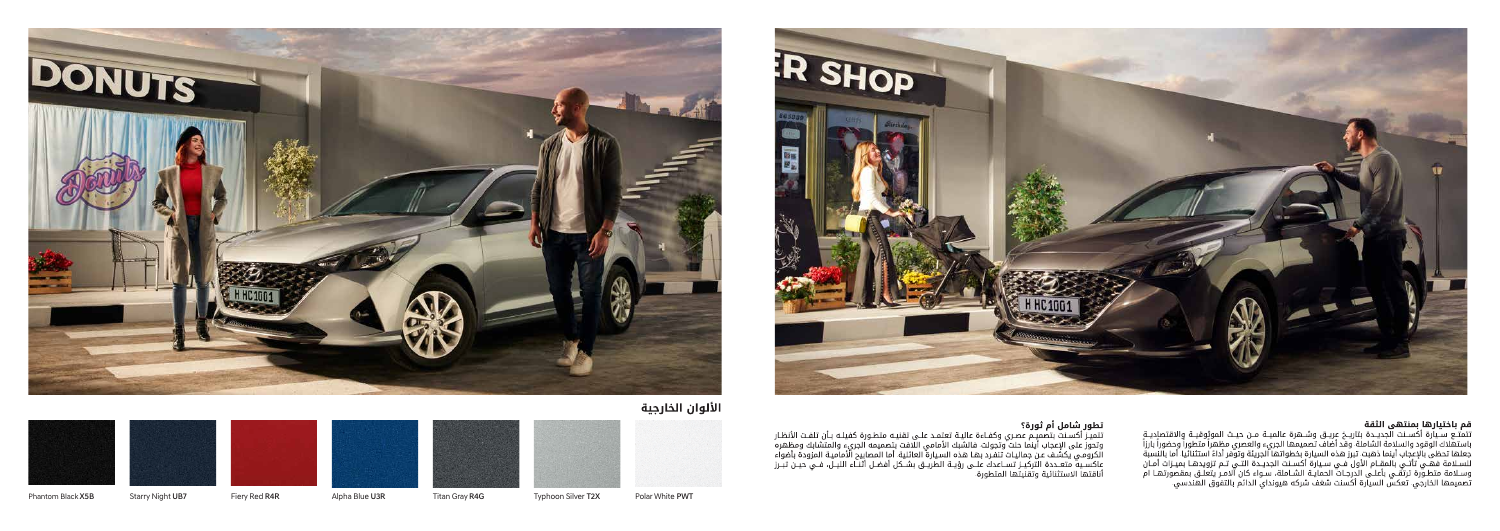

**تطور شامل أم ثورة؟**<br>تتميـز أكسـنت بتصميـم عصـري وكفـاءة عاليـة تعتمـد علـى تقنيـه متطـورة كفيلـه بـأن تلفـت الأنظـار<br>وتحوز على الإعجاب أينما حلت وتجولت. فالشبك الأمامي اللافت بتصميمه الجريء والمتشابك ومظهره<br>الكرومـي يكشـ . . .















Phantom Black X5B Starry Night UB7 Fiery Red R4R Alpha Blue U3R Titan Gray R4G Typhoon Silver T2X Polar White PWT



. وقد أضاف تصميمها الجريء والعصري مظهرا متطورا وحضورا بارزا . تبرز هده السيارة بخطواتها الجريئه وتوفر اداءً استتنائيا. . تعكس السيارة اكسنت شغف شركه هيونداي الدائم بالتفوق الهندسي.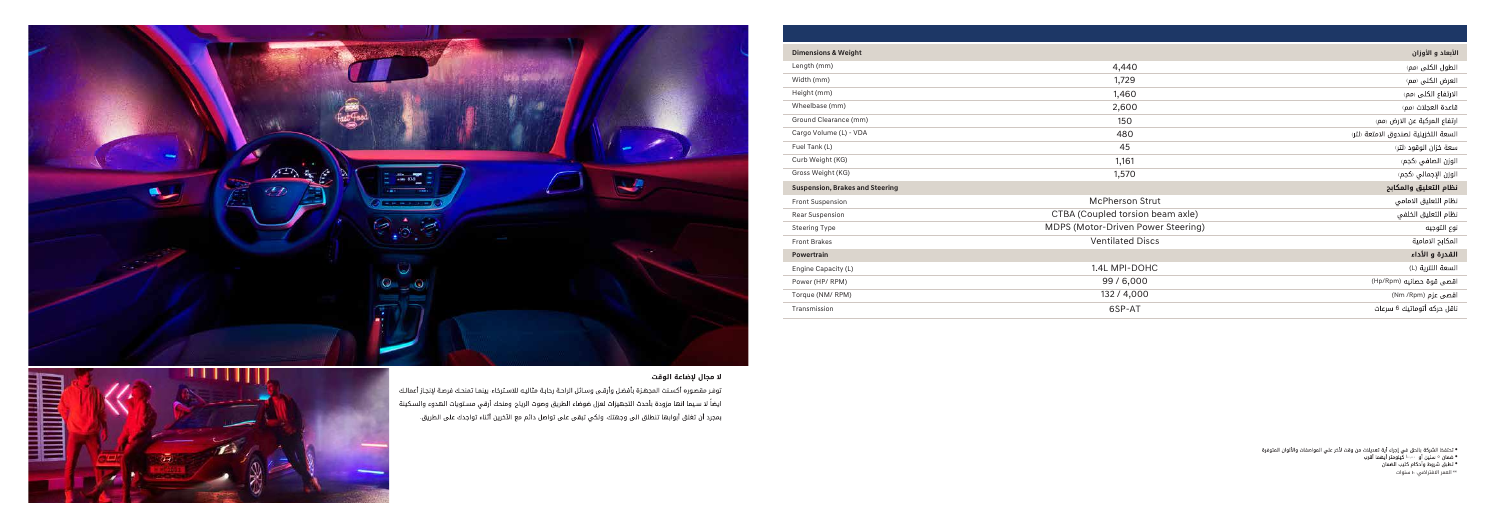

## لا مجال لإضاعة الوقت

توفر مقصوره أكسنت المجهزة بأفضل وأرقى وسائل الراحة رحابة مثاليه للاسترخاء بينما تمنحك فرصة لإنجاز أعمالك . ايضاً لا سيما انها مزودة بأحدث التجهيزات لعزل ضوضاء الطريق وصوت الرياح. ومنحك أرقي مستويات الهدوء والسكينة ً . بمجرد أن تغلق أبوابها تنطلق الى وجهتك. ولكي تبقى على تواصل دائم مع الآخرين أثناء تواجدك على الطريق. .



| <b>Dimensions &amp; Weight</b>         |                                    | الأبعاد و الأوزان                    |
|----------------------------------------|------------------------------------|--------------------------------------|
| Length (mm)                            | 4,440                              | الطول الكلى (مم)                     |
| Width (mm)                             | 1,729                              | العرض الكلى رمم)                     |
| Height (mm)                            | 1,460                              | الارتفاع الكلى (مم)                  |
| Wheelbase (mm)                         | 2,600                              | قاعدة العجلات رمم)                   |
| Ground Clearance (mm)                  | 150                                | ارتفاع المركبة عن الارض (مم)         |
| Cargo Volume (L) - VDA                 | 480                                | السعة التخزينية لصندوق الامتعة رلتر٬ |
| Fuel Tank (L)                          | 45                                 | سعة خزان الوقود (لتر)                |
| Curb Weight (KG)                       | 1,161                              | الوزن الصافي (كجم)                   |
| Gross Weight (KG)                      | 1,570                              | الوزن الإجمالي (كجم)                 |
| <b>Suspension, Brakes and Steering</b> |                                    | نظام التعليق والمكابح                |
| <b>Front Suspension</b>                | <b>McPherson Strut</b>             | نظام التعليق الامامي                 |
| <b>Rear Suspension</b>                 | CTBA (Coupled torsion beam axle)   | نظام التعليق الخلفي                  |
| <b>Steering Type</b>                   | MDPS (Motor-Driven Power Steering) | نوع التوجيه                          |
| <b>Front Brakes</b>                    | <b>Ventilated Discs</b>            | المكابح الامامية                     |
| Powertrain                             |                                    | القدرة و الأداء                      |
| Engine Capacity (L)                    | 1.4L MPI-DOHC                      | السعة اللترية (L)                    |
| Power (HP/RPM)                         | 99/6,000                           | اقصى قوة حصانيه (Hp/Rpm)             |
| Torque (NM/RPM)                        | 132 / 4,000                        | اقصی عزم (Nm /Rpm)                   |
| Transmission                           | 6SP-AT                             | ناقل حركه أتوماتيك 6 سرعات           |

●

• ضمان ه سنين أو ١٠٠,٠٠٠ كيلومتر أيه<br>• تطبق شروط وأحكام كتيب الضمان

.

١٠ سنوات \*\* العمر الافتراضي: